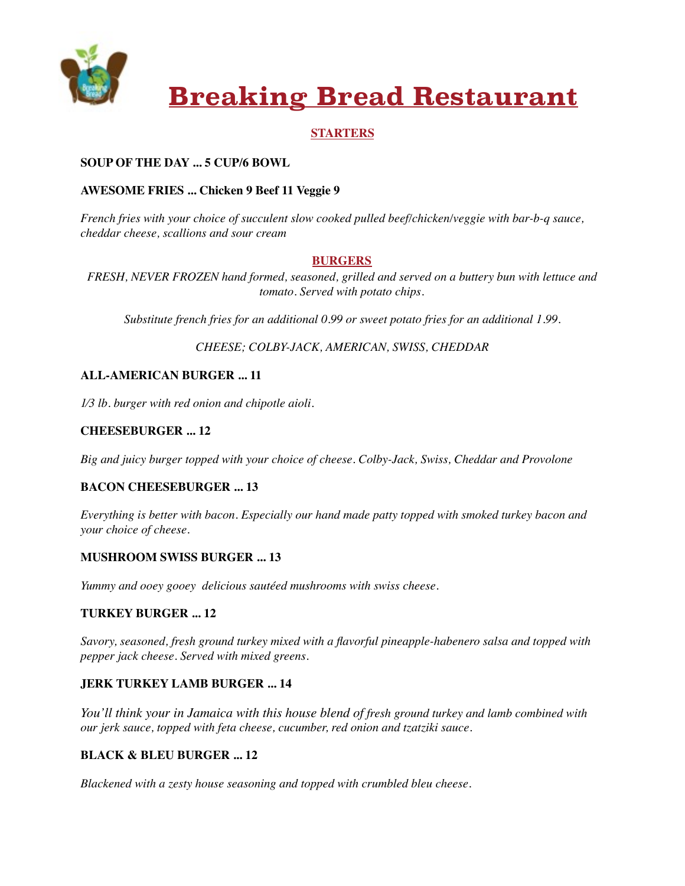

# **Breaking Bread Restaurant**

## **STARTERS**

# **SOUP OF THE DAY ... 5 CUP/6 BOWL**

## **AWESOME FRIES ... Chicken 9 Beef 11 Veggie 9**

*French fries with your choice of succulent slow cooked pulled beef/chicken/veggie with bar-b-q sauce, cheddar cheese, scallions and sour cream* 

#### **BURGERS**

*FRESH, NEVER FROZEN hand formed, seasoned, grilled and served on a buttery bun with lettuce and tomato. Served with potato chips.*

*Substitute french fries for an additional 0.99 or sweet potato fries for an additional 1.99.* 

*CHEESE; COLBY-JACK, AMERICAN, SWISS, CHEDDAR* 

# **ALL-AMERICAN BURGER ... 11**

*1⁄3 lb. burger with red onion and chipotle aioli.* 

### **CHEESEBURGER ... 12**

*Big and juicy burger topped with your choice of cheese. Colby-Jack, Swiss, Cheddar and Provolone* 

### **BACON CHEESEBURGER ... 13**

*Everything is better with bacon. Especially our hand made patty topped with smoked turkey bacon and your choice of cheese.* 

### **MUSHROOM SWISS BURGER ... 13**

*Yummy and ooey gooey delicious sautéed mushrooms with swiss cheese.*

#### **TURKEY BURGER ... 12**

*Savory, seasoned, fresh ground turkey mixed with a flavorful pineapple-habenero salsa and topped with pepper jack cheese. Served with mixed greens.* 

### **JERK TURKEY LAMB BURGER ... 14**

*You'll think your in Jamaica with this house blend of fresh ground turkey and lamb combined with our jerk sauce, topped with feta cheese, cucumber, red onion and tzatziki sauce.* 

#### **BLACK & BLEU BURGER ... 12**

*Blackened with a zesty house seasoning and topped with crumbled bleu cheese.*